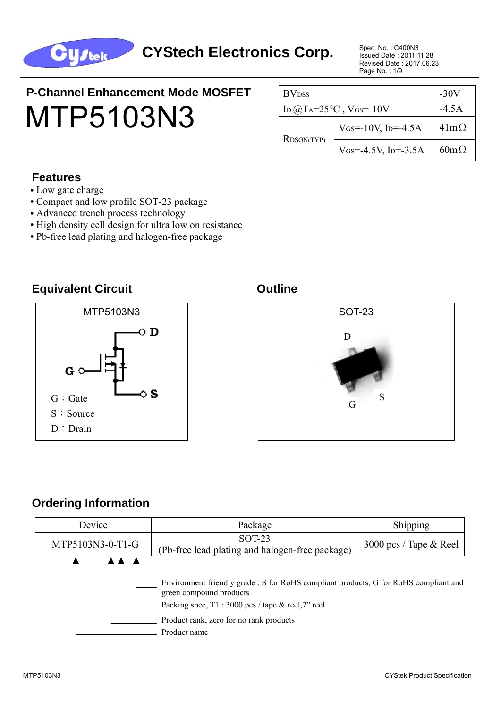

Issued Date : 2011.11.28 Revised Date : 2017.06.23 Page No. : 1/9

# **P-Channel Enhancement Mode MOSFET** MTP5103N3

| <b>BV</b> <sub>DSS</sub>              | -30V                                           |             |
|---------------------------------------|------------------------------------------------|-------------|
| ID $@$ TA=25 <sup>o</sup> C, VGS=-10V | $-4.5A$                                        |             |
| <b>RDSON(TYP)</b>                     | $V$ <sub>GS</sub> =-10V, I <sub>D</sub> =-4.5A | $41m\Omega$ |
|                                       | VGS=-4.5V, ID=-3.5A                            | $60m\Omega$ |

#### **Features**

- **•** Low gate charge
- **•** Compact and low profile SOT-23 package
- Advanced trench process technology
- High density cell design for ultra low on resistance
- Pb-free lead plating and halogen-free package

#### **Equivalent Circuit Canadian Circuit Circuit Circuit Circuit Constant Circuit Circuit**





#### **Ordering Information**

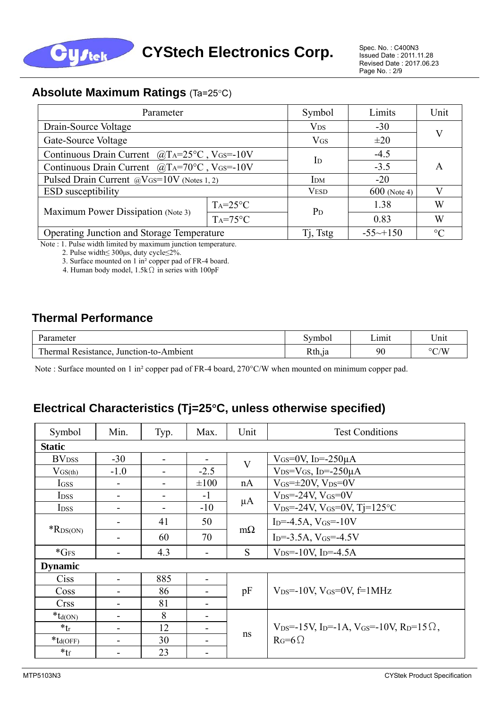

Issued Date : 2011.11.28 Revised Date : 2017.06.23 Page No. : 2/9

#### **Absolute Maximum Ratings** (Ta=25°C)

| Parameter                                           | Symbol                    | Limits                 |         |   |
|-----------------------------------------------------|---------------------------|------------------------|---------|---|
| Drain-Source Voltage                                | $V_{DS}$                  | $-30$                  |         |   |
| Gate-Source Voltage                                 | $V$ <sub>GS</sub>         | $\pm 20$               | V       |   |
| Continuous Drain Current $@T A=25°C$ , VGS=-10V     | $\mathbf{I}_{\mathbf{D}}$ | $-4.5$                 |         |   |
| Continuous Drain Current $@T A = 70°C$ , VGS = -10V |                           | $-3.5$                 | A       |   |
| Pulsed Drain Current @VGS=10V (Notes 1, 2)          | <b>IDM</b>                | $-20$                  |         |   |
| <b>ESD</b> susceptibility                           | <b>VESD</b>               | $600$ (Note 4)         |         |   |
| Maximum Power Dissipation (Note 3)                  | $Ta=25^{\circ}C$          | $P_D$                  | 1.38    | W |
|                                                     | $Ta=75^{\circ}C$          |                        | 0.83    | W |
| Operating Junction and Storage Temperature          | Tj, Tstg                  | $-55 \rightarrow +150$ | $\circ$ |   |

Note : 1. Pulse width limited by maximum junction temperature.

2. Pulse width≤ 300μs, duty cycle≤2%.

3. Surface mounted on 1 in² copper pad of FR-4 board.

4. Human body model, 1.5kΩ in series with 100pF

#### **Thermal Performance**

| Parameter                                                    | Symbo <sub>1</sub> | Lımıt | $-  -$<br>Jnıt     |
|--------------------------------------------------------------|--------------------|-------|--------------------|
| Thermal $\overline{1}$<br>Junction-to-Ambient<br>Resistance. | Rth,ja             | 90    | $\rm ^{\circ}$ C/W |

Note : Surface mounted on 1 in<sup>2</sup> copper pad of FR-4 board, 270°C/W when mounted on minimum copper pad.

#### **Electrical Characteristics (Tj=25**°**C, unless otherwise specified)**

| Symbol                   | Min.           | Typ.                     | Max.      | Unit                    | <b>Test Conditions</b>                                                                      |  |  |  |  |
|--------------------------|----------------|--------------------------|-----------|-------------------------|---------------------------------------------------------------------------------------------|--|--|--|--|
| <b>Static</b>            |                |                          |           |                         |                                                                                             |  |  |  |  |
| <b>BV</b> <sub>DSS</sub> | $-30$          | $\blacksquare$           |           | $\overline{\mathrm{V}}$ | $V$ <sub>GS</sub> =0V, I <sub>D</sub> =-250 $\mu$ A                                         |  |  |  |  |
| $V_{GS(th)}$             | $-1.0$         |                          | $-2.5$    |                         | $V_{DS}=V_{GS}$ , I <sub>D</sub> =-250 $\mu$ A                                              |  |  |  |  |
| IGSS                     | -              | $\overline{\phantom{0}}$ | $\pm 100$ | nA                      | $V$ <sub>GS</sub> = $\pm$ 20V, V <sub>DS</sub> =0V                                          |  |  |  |  |
| I <sub>DSS</sub>         | ۰              | $\overline{\phantom{0}}$ | $-1$      |                         | $V_{DS} = -24V$ , $V_{GS} = 0V$                                                             |  |  |  |  |
| I <sub>DSS</sub>         | ۰              | $\blacksquare$           | $-10$     | $\mu A$                 | $V_{DS} = -24V$ , $V_{GS} = 0V$ , Tj=125°C                                                  |  |  |  |  |
|                          |                | 41                       | 50        |                         | $I_{D} = -4.5A$ , $V_{GS} = -10V$                                                           |  |  |  |  |
| $*$ R <sub>DS(ON)</sub>  |                | 60                       | 70        | $m\Omega$               | $I_D = -3.5A$ , $V_{GS} = -4.5V$                                                            |  |  |  |  |
| $*GFS$                   |                | 4.3                      |           | <sub>S</sub>            | $V_{DS} = -10V$ , I <sub>D</sub> =-4.5A                                                     |  |  |  |  |
| <b>Dynamic</b>           |                |                          |           |                         |                                                                                             |  |  |  |  |
| <b>Ciss</b>              | $\blacksquare$ | 885                      | -         |                         |                                                                                             |  |  |  |  |
| Coss                     |                | 86                       |           | pF                      | $V_{DS} = -10V$ , $V_{GS} = 0V$ , $f = 1MHz$                                                |  |  |  |  |
| <b>Crss</b>              | ۰              | 81                       |           |                         |                                                                                             |  |  |  |  |
| $*_{td(ON)}$             | ۰              | 8                        | -         |                         |                                                                                             |  |  |  |  |
| $*_{tr}$                 | ۰              | 12                       |           |                         | $V_{DS} = -15V$ , I <sub>D</sub> =-1A, V <sub>GS</sub> =-10V, R <sub>D</sub> =15 $\Omega$ , |  |  |  |  |
| $*_{td(OFF)}$            | -              | 30                       |           | ns                      | $R_G=6\Omega$                                                                               |  |  |  |  |
| $*_{\text{tf}}$          |                | 23                       | -         |                         |                                                                                             |  |  |  |  |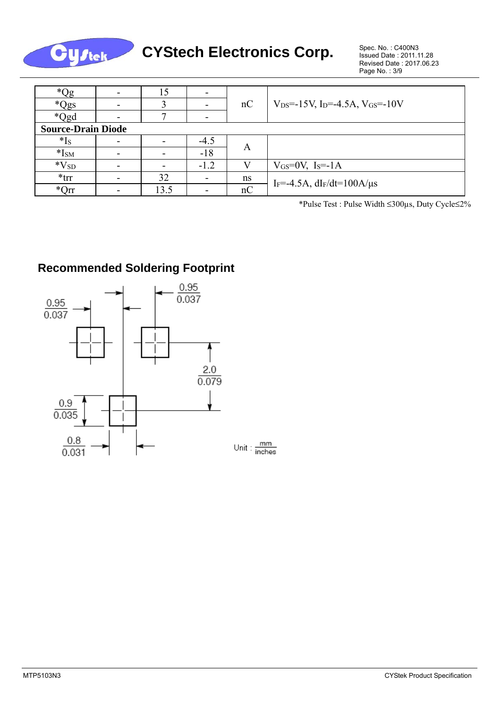

**CYStech Electronics Corp.** 

Issued Date : 2011.11.28 Revised Date : 2017.06.23 Page No. : 3/9

| $^*Qg$                    |   | 15                       |        |    |                                                                     |  |  |  |
|---------------------------|---|--------------------------|--------|----|---------------------------------------------------------------------|--|--|--|
| *Qgs                      |   |                          |        | nC | $\sqrt{V_{DS}}$ =-15V, I <sub>D</sub> =-4.5A, V <sub>GS</sub> =-10V |  |  |  |
| *Qgd                      |   | −                        |        |    |                                                                     |  |  |  |
| <b>Source-Drain Diode</b> |   |                          |        |    |                                                                     |  |  |  |
| $*_{\text{Is}}$           | - | $\overline{\phantom{0}}$ | $-4.5$ |    |                                                                     |  |  |  |
| $*ISM$                    |   | $\overline{\phantom{0}}$ | $-18$  | A  |                                                                     |  |  |  |
| $*V_{SD}$                 |   |                          | $-1.2$ |    | $V$ <sub>GS</sub> = $0$ V, I <sub>S</sub> = $-1$ A                  |  |  |  |
| $*$ trr                   |   | 32                       |        | ns | $I_F = -4.5A$ , $dI_F/dt = 100A/\mu s$                              |  |  |  |
| $*Orr$                    |   | 13.5                     |        | nC |                                                                     |  |  |  |

\*Pulse Test : Pulse Width ≤300µs, Duty Cycle≤2%

#### **Recommended Soldering Footprint**

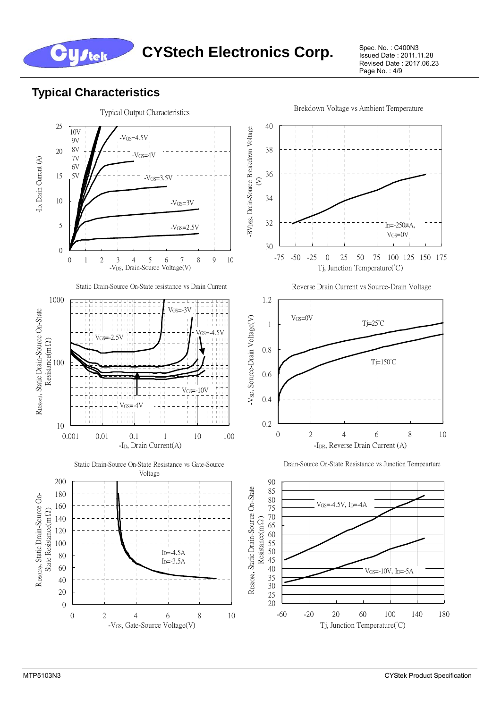

Issued Date : 2011.11.28 Revised Date : 2017.06.23 Page No.: 4/9

#### **Typical Characteristics**

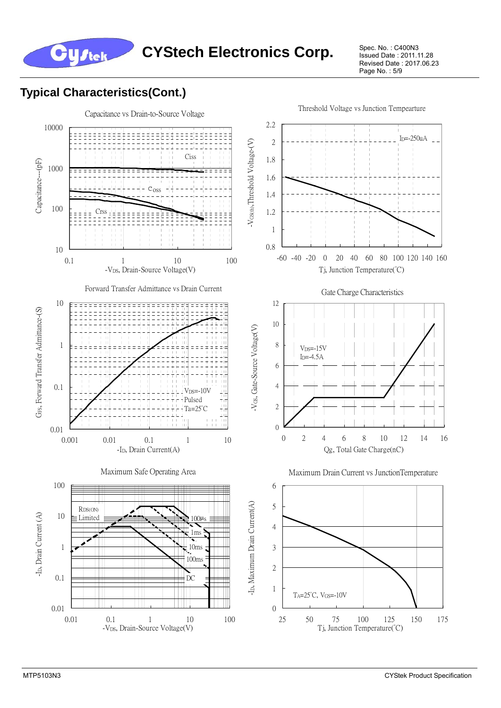

Issued Date : 2011.11.28 Revised Date : 2017.06.23 Page No. : 5/9

#### **Typical Characteristics(Cont.)**

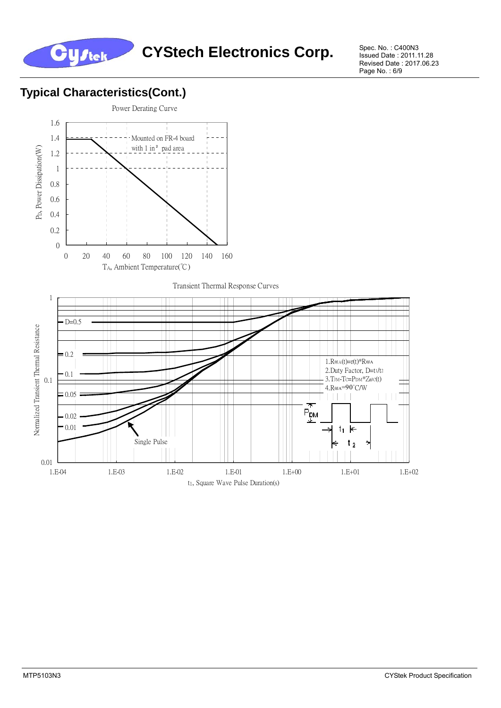

Spec. No.: C400N3<br>Issued Date: 2011.11.28 Revised Date : 2017.06.23 Page No.: 6/9

### **Typical Characteristics(Cont.)**





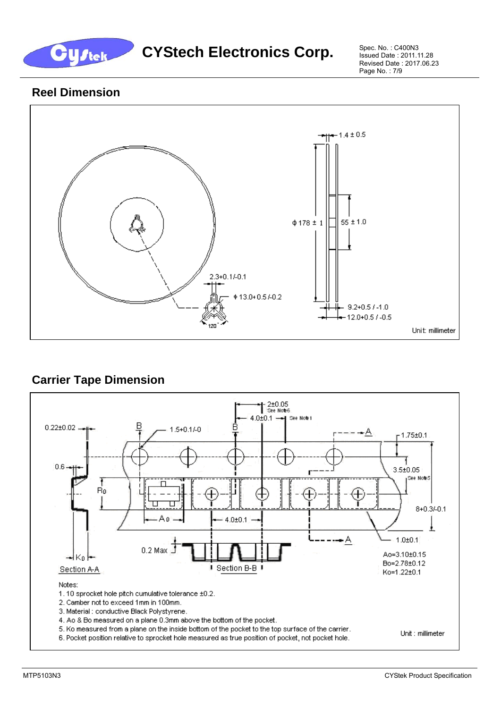

Issued Date : 2011.11.28 Revised Date : 2017.06.23 Page No. : 7/9

#### **Reel Dimension**



#### **Carrier Tape Dimension**

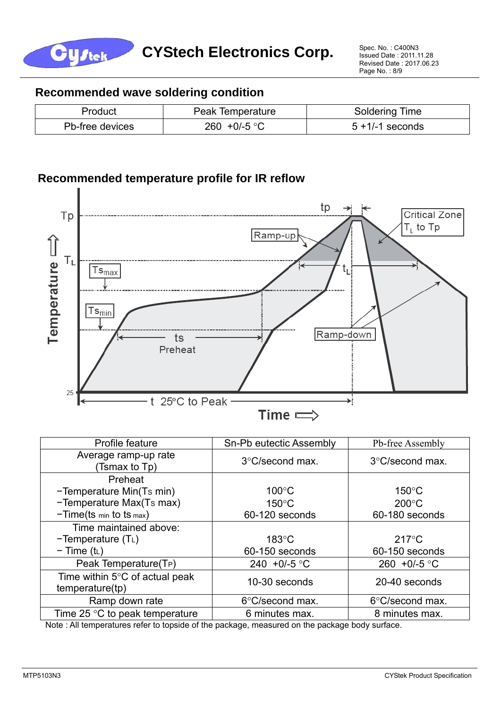

#### **Recommended wave soldering condition**

| Product         | Peak Temperature | <b>Soldering Time</b> |  |  |
|-----------------|------------------|-----------------------|--|--|
| Pb-free devices | 260 +0/-5 °C     | $5 + 1/ - 1$ seconds  |  |  |

#### **Recommended temperature profile for IR reflow**



| Profile feature                                             | Sn-Pb eutectic Assembly   | Pb-free Assembly          |
|-------------------------------------------------------------|---------------------------|---------------------------|
| Average ramp-up rate<br>(Tsmax to Tp)                       | $3^{\circ}$ C/second max. | $3^{\circ}$ C/second max. |
| Preheat                                                     |                           |                           |
| -Temperature Min(Ts min)                                    | $100^{\circ}$ C           | $150^{\circ}$ C           |
| -Temperature Max(Ts max)                                    | $150^{\circ}$ C           | $200^{\circ}$ C           |
| $-Time(ts \ min to ts \ max)$                               | 60-120 seconds            | 60-180 seconds            |
| Time maintained above:                                      |                           |                           |
| $-Temperature(TL)$                                          | $183^{\circ}$ C           | $217^{\circ}$ C           |
| $-$ Time (t <sub>L</sub> )                                  | 60-150 seconds            | 60-150 seconds            |
| Peak Temperature(T <sub>P</sub> )                           | 240 +0/-5 °C              | 260 +0/-5 $\degree$ C     |
| Time within $5^{\circ}$ C of actual peak<br>temperature(tp) | 10-30 seconds             | 20-40 seconds             |
| Ramp down rate                                              | 6°C/second max.           | 6°C/second max.           |
| Time 25 $\degree$ C to peak temperature                     | 6 minutes max.            | 8 minutes max.            |

Note : All temperatures refer to topside of the package, measured on the package body surface.